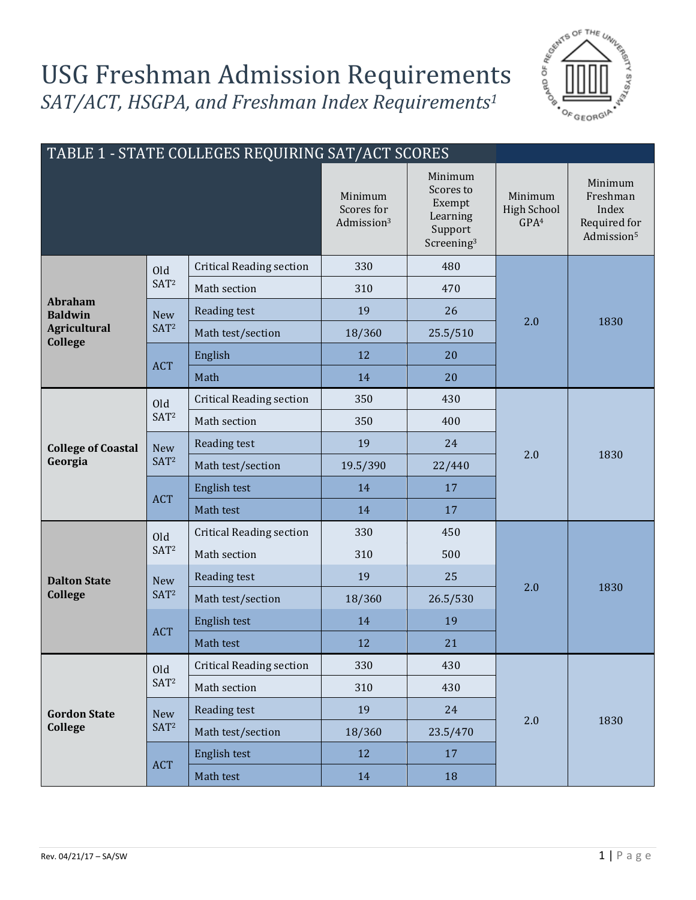## USG Freshman Admission Requirements *SAT/ACT, HSGPA, and Freshman Index Requirements<sup>1</sup>*



| TABLE 1 - STATE COLLEGES REQUIRING SAT/ACT SCORES |                                |                                 |                                                 |                                                                                 |                                                   |                                                                        |
|---------------------------------------------------|--------------------------------|---------------------------------|-------------------------------------------------|---------------------------------------------------------------------------------|---------------------------------------------------|------------------------------------------------------------------------|
|                                                   |                                |                                 | Minimum<br>Scores for<br>Admission <sup>3</sup> | Minimum<br>Scores to<br>Exempt<br>Learning<br>Support<br>Screening <sup>3</sup> | Minimum<br><b>High School</b><br>GPA <sup>4</sup> | Minimum<br>Freshman<br>Index<br>Required for<br>Admission <sup>5</sup> |
|                                                   | Old<br>SAT <sup>2</sup>        | <b>Critical Reading section</b> | 330                                             | 480                                                                             |                                                   | 1830                                                                   |
|                                                   |                                | Math section                    | 310                                             | 470                                                                             |                                                   |                                                                        |
| <b>Abraham</b><br><b>Baldwin</b>                  | <b>New</b>                     | Reading test                    | 19                                              | 26                                                                              |                                                   |                                                                        |
| <b>Agricultural</b><br><b>College</b>             | SAT <sup>2</sup>               | Math test/section               | 18/360                                          | 25.5/510                                                                        | 2.0                                               |                                                                        |
|                                                   |                                | English                         | 12                                              | 20                                                                              |                                                   |                                                                        |
|                                                   | <b>ACT</b>                     | Math                            | 14                                              | 20                                                                              |                                                   |                                                                        |
|                                                   | Old                            | <b>Critical Reading section</b> | 350                                             | 430                                                                             |                                                   | 1830                                                                   |
|                                                   | SAT <sup>2</sup>               | Math section                    | 350                                             | 400                                                                             | 2.0                                               |                                                                        |
| <b>College of Coastal</b>                         | New<br>SAT <sup>2</sup>        | Reading test                    | 19                                              | 24                                                                              |                                                   |                                                                        |
| Georgia                                           |                                | Math test/section               | 19.5/390                                        | 22/440                                                                          |                                                   |                                                                        |
|                                                   | <b>ACT</b>                     | English test                    | 14                                              | 17                                                                              |                                                   |                                                                        |
|                                                   |                                | Math test                       | 14                                              | 17                                                                              |                                                   |                                                                        |
|                                                   | Old<br>SAT <sup>2</sup>        | <b>Critical Reading section</b> | 330                                             | 450                                                                             |                                                   | 1830                                                                   |
|                                                   |                                | Math section                    | 310                                             | 500                                                                             |                                                   |                                                                        |
| <b>Dalton State</b>                               | <b>New</b><br>SAT <sup>2</sup> | Reading test                    | 19                                              | 25                                                                              | 2.0                                               |                                                                        |
| <b>College</b>                                    |                                | Math test/section               | 18/360                                          | 26.5/530                                                                        |                                                   |                                                                        |
|                                                   | <b>ACT</b>                     | English test                    | 14                                              | 19                                                                              |                                                   |                                                                        |
|                                                   |                                | Math test                       | 12                                              | 21                                                                              |                                                   |                                                                        |
| <b>Gordon State</b><br><b>College</b>             | Old<br>SAT <sup>2</sup>        | <b>Critical Reading section</b> | 330                                             | 430                                                                             |                                                   | 1830                                                                   |
|                                                   |                                | Math section                    | 310                                             | 430                                                                             |                                                   |                                                                        |
|                                                   | <b>New</b><br>SAT <sup>2</sup> | Reading test                    | 19                                              | 24                                                                              |                                                   |                                                                        |
|                                                   |                                | Math test/section               | 18/360                                          | 23.5/470                                                                        | 2.0                                               |                                                                        |
|                                                   | <b>ACT</b>                     | English test                    | 12                                              | 17                                                                              |                                                   |                                                                        |
|                                                   |                                | Math test                       | 14                                              | 18                                                                              |                                                   |                                                                        |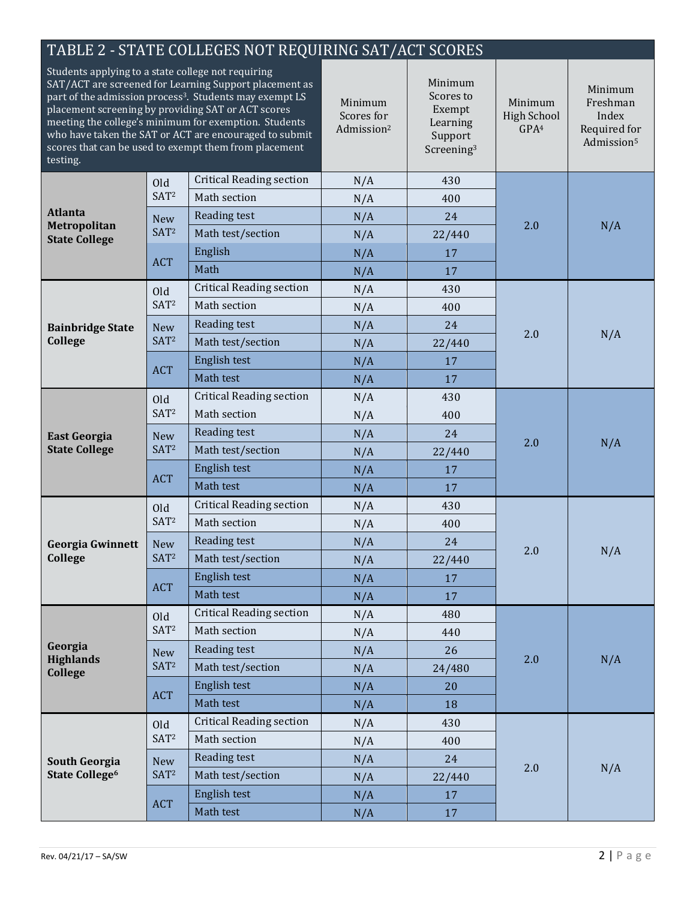| TABLE 2 - STATE COLLEGES NOT REQUIRING SAT/ACT SCORES                                                                                                                                                                                                                                                                                                                                                                             |                                |                                                 |                                                                                 |                                                   |                                                                        |     |
|-----------------------------------------------------------------------------------------------------------------------------------------------------------------------------------------------------------------------------------------------------------------------------------------------------------------------------------------------------------------------------------------------------------------------------------|--------------------------------|-------------------------------------------------|---------------------------------------------------------------------------------|---------------------------------------------------|------------------------------------------------------------------------|-----|
| Students applying to a state college not requiring<br>SAT/ACT are screened for Learning Support placement as<br>part of the admission process <sup>3</sup> . Students may exempt LS<br>placement screening by providing SAT or ACT scores<br>meeting the college's minimum for exemption. Students<br>who have taken the SAT or ACT are encouraged to submit<br>scores that can be used to exempt them from placement<br>testing. |                                | Minimum<br>Scores for<br>Admission <sup>2</sup> | Minimum<br>Scores to<br>Exempt<br>Learning<br>Support<br>Screening <sup>3</sup> | Minimum<br><b>High School</b><br>GPA <sup>4</sup> | Minimum<br>Freshman<br>Index<br>Required for<br>Admission <sup>5</sup> |     |
|                                                                                                                                                                                                                                                                                                                                                                                                                                   | Old<br>SAT <sup>2</sup>        | <b>Critical Reading section</b>                 | N/A                                                                             | 430                                               |                                                                        | N/A |
|                                                                                                                                                                                                                                                                                                                                                                                                                                   |                                | Math section                                    | N/A                                                                             | 400                                               | 2.0                                                                    |     |
| <b>Atlanta</b>                                                                                                                                                                                                                                                                                                                                                                                                                    | <b>New</b><br>SAT <sup>2</sup> | Reading test                                    | N/A                                                                             | 24                                                |                                                                        |     |
| Metropolitan<br><b>State College</b>                                                                                                                                                                                                                                                                                                                                                                                              |                                | Math test/section                               | N/A                                                                             | 22/440                                            |                                                                        |     |
|                                                                                                                                                                                                                                                                                                                                                                                                                                   |                                | English                                         | N/A                                                                             | 17                                                |                                                                        |     |
|                                                                                                                                                                                                                                                                                                                                                                                                                                   | <b>ACT</b>                     | Math                                            | N/A                                                                             | 17                                                |                                                                        |     |
|                                                                                                                                                                                                                                                                                                                                                                                                                                   | Old                            | <b>Critical Reading section</b>                 | N/A                                                                             | 430                                               |                                                                        | N/A |
|                                                                                                                                                                                                                                                                                                                                                                                                                                   | SAT <sup>2</sup>               | Math section                                    | N/A                                                                             | 400                                               |                                                                        |     |
| <b>Bainbridge State</b>                                                                                                                                                                                                                                                                                                                                                                                                           | <b>New</b>                     | Reading test                                    | N/A                                                                             | 24                                                |                                                                        |     |
| College                                                                                                                                                                                                                                                                                                                                                                                                                           | SAT <sup>2</sup>               | Math test/section                               | N/A                                                                             | 22/440                                            | 2.0                                                                    |     |
|                                                                                                                                                                                                                                                                                                                                                                                                                                   |                                | English test                                    | N/A                                                                             | 17                                                |                                                                        |     |
|                                                                                                                                                                                                                                                                                                                                                                                                                                   | <b>ACT</b>                     | Math test                                       | N/A                                                                             | 17                                                |                                                                        |     |
|                                                                                                                                                                                                                                                                                                                                                                                                                                   | Old                            | <b>Critical Reading section</b>                 | N/A                                                                             | 430                                               | 2.0                                                                    | N/A |
|                                                                                                                                                                                                                                                                                                                                                                                                                                   | SAT <sup>2</sup>               | Math section                                    | N/A                                                                             | 400                                               |                                                                        |     |
| <b>East Georgia</b>                                                                                                                                                                                                                                                                                                                                                                                                               | <b>New</b><br>SAT <sup>2</sup> | Reading test                                    | N/A                                                                             | 24                                                |                                                                        |     |
| <b>State College</b>                                                                                                                                                                                                                                                                                                                                                                                                              |                                | Math test/section                               | N/A                                                                             | 22/440                                            |                                                                        |     |
|                                                                                                                                                                                                                                                                                                                                                                                                                                   | <b>ACT</b>                     | English test                                    | N/A                                                                             | 17                                                |                                                                        |     |
|                                                                                                                                                                                                                                                                                                                                                                                                                                   |                                | Math test                                       | N/A                                                                             | 17                                                |                                                                        |     |
|                                                                                                                                                                                                                                                                                                                                                                                                                                   | Old<br>SAT <sup>2</sup>        | <b>Critical Reading section</b>                 | N/A                                                                             | 430                                               |                                                                        | N/A |
|                                                                                                                                                                                                                                                                                                                                                                                                                                   |                                | Math section                                    | N/A                                                                             | 400                                               |                                                                        |     |
|                                                                                                                                                                                                                                                                                                                                                                                                                                   | New<br>SAT <sup>2</sup>        | Reading test                                    | N/A                                                                             | 24                                                |                                                                        |     |
| Georgia Gwinnett<br>College                                                                                                                                                                                                                                                                                                                                                                                                       |                                | Math test/section                               | N/A                                                                             | 22/440                                            | 2.0                                                                    |     |
|                                                                                                                                                                                                                                                                                                                                                                                                                                   | <b>ACT</b>                     | English test                                    | N/A                                                                             | 17                                                |                                                                        |     |
|                                                                                                                                                                                                                                                                                                                                                                                                                                   |                                | Math test                                       | N/A                                                                             | 17                                                |                                                                        |     |
|                                                                                                                                                                                                                                                                                                                                                                                                                                   |                                | <b>Critical Reading section</b>                 | N/A                                                                             | 480                                               |                                                                        |     |
|                                                                                                                                                                                                                                                                                                                                                                                                                                   | Old<br>SAT <sup>2</sup>        | Math section                                    | N/A                                                                             | 440                                               |                                                                        | N/A |
| Georgia                                                                                                                                                                                                                                                                                                                                                                                                                           |                                | Reading test                                    | N/A                                                                             | 26                                                |                                                                        |     |
| <b>Highlands</b>                                                                                                                                                                                                                                                                                                                                                                                                                  | <b>New</b><br>SAT <sup>2</sup> | Math test/section                               | N/A                                                                             | 24/480                                            | 2.0                                                                    |     |
| <b>College</b>                                                                                                                                                                                                                                                                                                                                                                                                                    |                                | English test                                    | N/A                                                                             | 20                                                |                                                                        |     |
|                                                                                                                                                                                                                                                                                                                                                                                                                                   | <b>ACT</b>                     | Math test                                       | N/A                                                                             | 18                                                |                                                                        |     |
| <b>South Georgia</b><br>State College <sup>6</sup>                                                                                                                                                                                                                                                                                                                                                                                | Old<br>SAT <sup>2</sup>        | <b>Critical Reading section</b>                 | N/A                                                                             | 430                                               |                                                                        |     |
|                                                                                                                                                                                                                                                                                                                                                                                                                                   |                                | Math section                                    | N/A                                                                             | 400                                               |                                                                        |     |
|                                                                                                                                                                                                                                                                                                                                                                                                                                   | <b>New</b><br>SAT <sup>2</sup> | Reading test                                    | N/A                                                                             | 24                                                |                                                                        |     |
|                                                                                                                                                                                                                                                                                                                                                                                                                                   |                                | Math test/section                               | N/A                                                                             | 22/440                                            | 2.0                                                                    | N/A |
|                                                                                                                                                                                                                                                                                                                                                                                                                                   | <b>ACT</b>                     | English test                                    |                                                                                 | 17                                                |                                                                        |     |
|                                                                                                                                                                                                                                                                                                                                                                                                                                   |                                | Math test                                       | N/A<br>N/A                                                                      | 17                                                |                                                                        |     |
|                                                                                                                                                                                                                                                                                                                                                                                                                                   |                                |                                                 |                                                                                 |                                                   |                                                                        |     |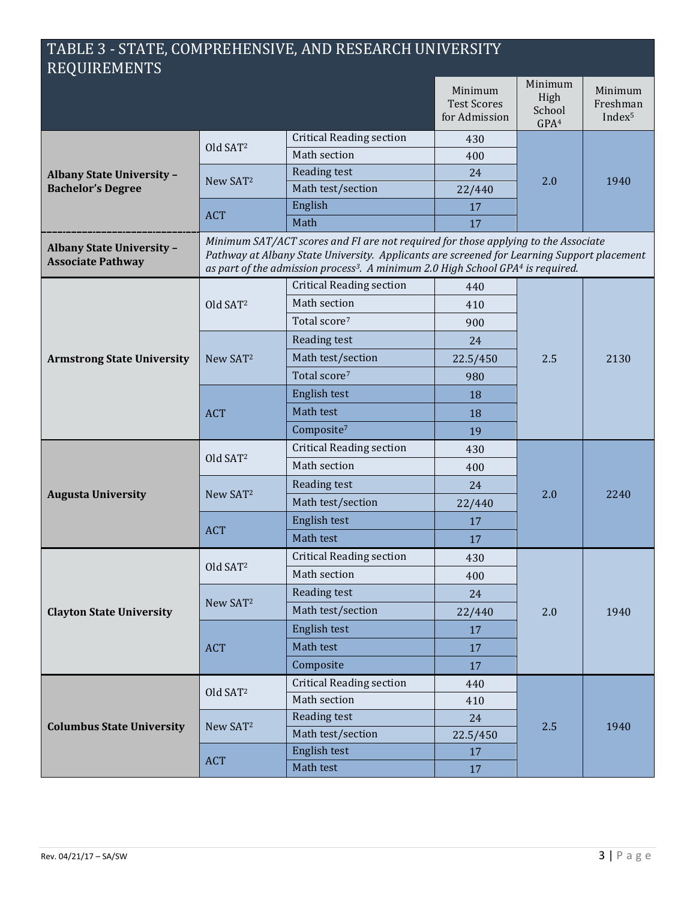## TABLE 3 - STATE, COMPREHENSIVE, AND RESEARCH UNIVERSITY REQUIREMENTS

|                                                       |                                                                                                                                                                                                                                                                                             |                                 | Minimum<br><b>Test Scores</b><br>for Admission | Minimum<br>High<br>School<br>GPA <sup>4</sup> | Minimum<br>Freshman<br>Index <sup>5</sup> |
|-------------------------------------------------------|---------------------------------------------------------------------------------------------------------------------------------------------------------------------------------------------------------------------------------------------------------------------------------------------|---------------------------------|------------------------------------------------|-----------------------------------------------|-------------------------------------------|
| <b>Albany State University -</b>                      | Old SAT <sup>2</sup>                                                                                                                                                                                                                                                                        | <b>Critical Reading section</b> | 430                                            | 2.0                                           | 1940                                      |
|                                                       |                                                                                                                                                                                                                                                                                             | Math section                    | 400                                            |                                               |                                           |
|                                                       | New SAT <sup>2</sup>                                                                                                                                                                                                                                                                        | Reading test                    | 24                                             |                                               |                                           |
| <b>Bachelor's Degree</b>                              |                                                                                                                                                                                                                                                                                             | Math test/section               | 22/440                                         |                                               |                                           |
|                                                       | <b>ACT</b>                                                                                                                                                                                                                                                                                  | English                         | 17                                             |                                               |                                           |
|                                                       |                                                                                                                                                                                                                                                                                             | Math                            | 17                                             |                                               |                                           |
| Albany State University -<br><b>Associate Pathway</b> | Minimum SAT/ACT scores and FI are not required for those applying to the Associate<br>Pathway at Albany State University. Applicants are screened for Learning Support placement<br>as part of the admission process <sup>3</sup> . A minimum 2.0 High School GPA <sup>4</sup> is required. |                                 |                                                |                                               |                                           |
|                                                       |                                                                                                                                                                                                                                                                                             | <b>Critical Reading section</b> | 440                                            |                                               | 2130                                      |
|                                                       | Old SAT <sup>2</sup>                                                                                                                                                                                                                                                                        | Math section                    | 410                                            |                                               |                                           |
|                                                       |                                                                                                                                                                                                                                                                                             | Total score <sup>7</sup>        | 900                                            |                                               |                                           |
|                                                       |                                                                                                                                                                                                                                                                                             | Reading test                    | 24                                             |                                               |                                           |
| <b>Armstrong State University</b>                     | New SAT <sup>2</sup>                                                                                                                                                                                                                                                                        | Math test/section               | 22.5/450                                       | 2.5                                           |                                           |
|                                                       |                                                                                                                                                                                                                                                                                             | Total score <sup>7</sup>        | 980                                            |                                               |                                           |
|                                                       | <b>ACT</b>                                                                                                                                                                                                                                                                                  | English test                    | 18                                             |                                               |                                           |
|                                                       |                                                                                                                                                                                                                                                                                             | Math test                       | 18                                             |                                               |                                           |
|                                                       |                                                                                                                                                                                                                                                                                             | Composite <sup>7</sup>          | 19                                             |                                               |                                           |
|                                                       |                                                                                                                                                                                                                                                                                             | <b>Critical Reading section</b> | 430                                            | 2.0                                           | 2240                                      |
|                                                       | Old SAT <sup>2</sup>                                                                                                                                                                                                                                                                        | Math section                    | 400                                            |                                               |                                           |
|                                                       |                                                                                                                                                                                                                                                                                             | Reading test                    | 24                                             |                                               |                                           |
| <b>Augusta University</b>                             | New SAT <sup>2</sup>                                                                                                                                                                                                                                                                        | Math test/section               | 22/440                                         |                                               |                                           |
|                                                       |                                                                                                                                                                                                                                                                                             | English test                    | 17                                             |                                               |                                           |
|                                                       | <b>ACT</b>                                                                                                                                                                                                                                                                                  | Math test                       | 17                                             |                                               |                                           |
|                                                       | Old SAT <sup>2</sup>                                                                                                                                                                                                                                                                        | <b>Critical Reading section</b> | 430                                            | 2.0                                           | 1940                                      |
|                                                       |                                                                                                                                                                                                                                                                                             | Math section                    | 400                                            |                                               |                                           |
|                                                       | New SAT <sup>2</sup>                                                                                                                                                                                                                                                                        | Reading test                    | 24                                             |                                               |                                           |
| <b>Clayton State University</b>                       |                                                                                                                                                                                                                                                                                             | Math test/section               | 22/440                                         |                                               |                                           |
|                                                       |                                                                                                                                                                                                                                                                                             | English test                    | 17                                             |                                               |                                           |
|                                                       | <b>ACT</b>                                                                                                                                                                                                                                                                                  | Math test                       | 17                                             |                                               |                                           |
|                                                       |                                                                                                                                                                                                                                                                                             | Composite                       | 17                                             |                                               |                                           |
|                                                       |                                                                                                                                                                                                                                                                                             | <b>Critical Reading section</b> | 440                                            | 2.5                                           | 1940                                      |
|                                                       | Old SAT <sup>2</sup>                                                                                                                                                                                                                                                                        | Math section                    | 410                                            |                                               |                                           |
|                                                       | New SAT <sup>2</sup>                                                                                                                                                                                                                                                                        | Reading test                    | 24                                             |                                               |                                           |
| <b>Columbus State University</b>                      |                                                                                                                                                                                                                                                                                             | Math test/section               | 22.5/450                                       |                                               |                                           |
|                                                       | ACT                                                                                                                                                                                                                                                                                         | English test                    | 17                                             |                                               |                                           |
|                                                       |                                                                                                                                                                                                                                                                                             | Math test                       | 17                                             |                                               |                                           |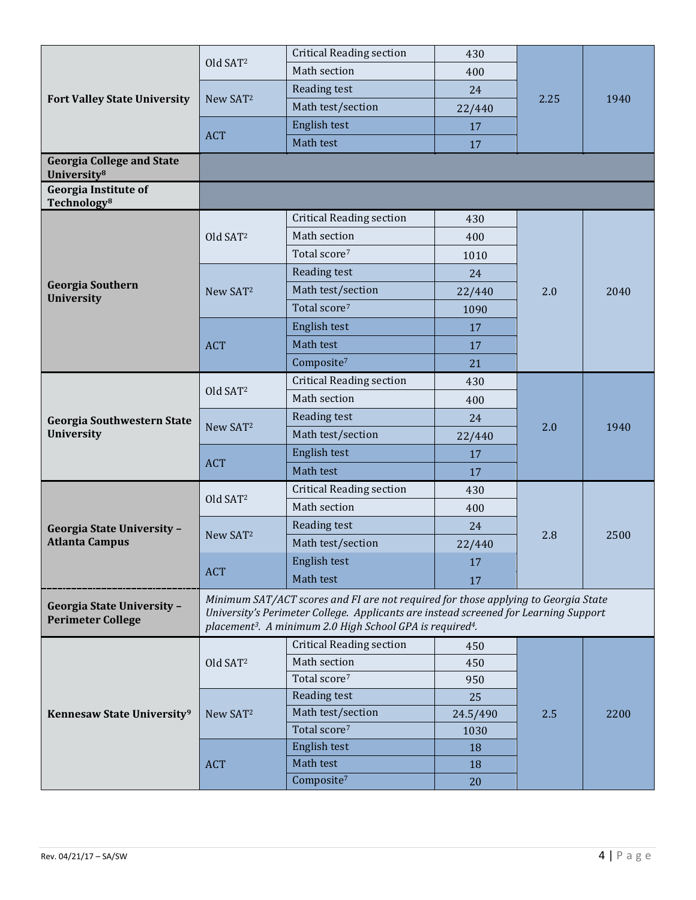| <b>Fort Valley State University</b>                           | Old SAT <sup>2</sup>                                                                                                                                                                                                                                            | <b>Critical Reading section</b> | 430      | 2.25 |      |
|---------------------------------------------------------------|-----------------------------------------------------------------------------------------------------------------------------------------------------------------------------------------------------------------------------------------------------------------|---------------------------------|----------|------|------|
|                                                               |                                                                                                                                                                                                                                                                 | Math section                    | 400      |      |      |
|                                                               |                                                                                                                                                                                                                                                                 | Reading test                    | 24       |      |      |
|                                                               | New SAT <sup>2</sup>                                                                                                                                                                                                                                            | Math test/section               | 22/440   |      | 1940 |
|                                                               |                                                                                                                                                                                                                                                                 | English test                    | 17       |      |      |
|                                                               | <b>ACT</b>                                                                                                                                                                                                                                                      | Math test                       | 17       |      |      |
| <b>Georgia College and State</b><br>University <sup>8</sup>   |                                                                                                                                                                                                                                                                 |                                 |          |      |      |
| <b>Georgia Institute of</b><br>Technology <sup>8</sup>        |                                                                                                                                                                                                                                                                 |                                 |          |      |      |
|                                                               |                                                                                                                                                                                                                                                                 | <b>Critical Reading section</b> | 430      |      | 2040 |
|                                                               | Old SAT <sup>2</sup>                                                                                                                                                                                                                                            | Math section                    | 400      |      |      |
|                                                               |                                                                                                                                                                                                                                                                 | Total score <sup>7</sup>        | 1010     |      |      |
|                                                               |                                                                                                                                                                                                                                                                 | Reading test                    | 24       |      |      |
| <b>Georgia Southern</b><br>University                         | New SAT <sup>2</sup>                                                                                                                                                                                                                                            | Math test/section               | 22/440   | 2.0  |      |
|                                                               |                                                                                                                                                                                                                                                                 | Total score <sup>7</sup>        | 1090     |      |      |
|                                                               |                                                                                                                                                                                                                                                                 | English test                    | 17       |      |      |
|                                                               | <b>ACT</b>                                                                                                                                                                                                                                                      | Math test                       | 17       |      |      |
|                                                               |                                                                                                                                                                                                                                                                 | Composite <sup>7</sup>          | 21       |      |      |
|                                                               | Old SAT <sup>2</sup>                                                                                                                                                                                                                                            | <b>Critical Reading section</b> | 430      | 2.0  | 1940 |
|                                                               |                                                                                                                                                                                                                                                                 | Math section                    | 400      |      |      |
| <b>Georgia Southwestern State</b>                             | New SAT <sup>2</sup>                                                                                                                                                                                                                                            | Reading test                    | 24       |      |      |
| <b>University</b>                                             |                                                                                                                                                                                                                                                                 | Math test/section               | 22/440   |      |      |
|                                                               | <b>ACT</b>                                                                                                                                                                                                                                                      | English test                    | 17       |      |      |
|                                                               |                                                                                                                                                                                                                                                                 | Math test                       | 17       |      |      |
|                                                               |                                                                                                                                                                                                                                                                 | <b>Critical Reading section</b> | 430      | 2.8  | 2500 |
|                                                               | Old SAT <sup>2</sup>                                                                                                                                                                                                                                            | Math section                    | 400      |      |      |
| <b>Georgia State University -</b>                             |                                                                                                                                                                                                                                                                 | Reading test                    | 24       |      |      |
| <b>Atlanta Campus</b>                                         | New SAT <sup>2</sup>                                                                                                                                                                                                                                            | Math test/section               | 22/440   |      |      |
|                                                               |                                                                                                                                                                                                                                                                 | English test                    | 17       |      |      |
|                                                               | <b>ACT</b>                                                                                                                                                                                                                                                      | Math test                       | 17       |      |      |
| <b>Georgia State University -</b><br><b>Perimeter College</b> | Minimum SAT/ACT scores and FI are not required for those applying to Georgia State<br>University's Perimeter College. Applicants are instead screened for Learning Support<br>placement <sup>3</sup> . A minimum 2.0 High School GPA is required <sup>4</sup> . |                                 |          |      |      |
|                                                               |                                                                                                                                                                                                                                                                 | <b>Critical Reading section</b> | 450      | 2.5  |      |
|                                                               | Old SAT <sup>2</sup><br>New SAT <sup>2</sup>                                                                                                                                                                                                                    | Math section                    | 450      |      |      |
|                                                               |                                                                                                                                                                                                                                                                 | Total score <sup>7</sup>        | 950      |      | 2200 |
|                                                               |                                                                                                                                                                                                                                                                 | Reading test                    | 25       |      |      |
| Kennesaw State University <sup>9</sup>                        |                                                                                                                                                                                                                                                                 | Math test/section               | 24.5/490 |      |      |
|                                                               |                                                                                                                                                                                                                                                                 | Total score <sup>7</sup>        | 1030     |      |      |
|                                                               | <b>ACT</b>                                                                                                                                                                                                                                                      | English test                    | 18       |      |      |
|                                                               |                                                                                                                                                                                                                                                                 | Math test                       | 18       |      |      |
|                                                               |                                                                                                                                                                                                                                                                 | Composite <sup>7</sup>          | 20       |      |      |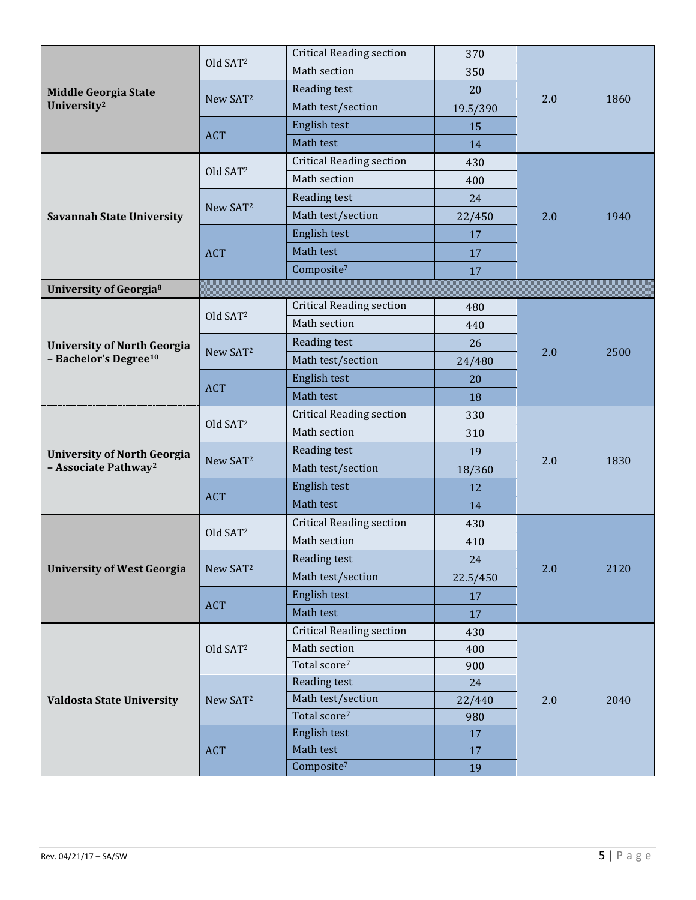|                                                        | Old SAT <sup>2</sup>        | <b>Critical Reading section</b> | 370      | 2.0 | 1860 |
|--------------------------------------------------------|-----------------------------|---------------------------------|----------|-----|------|
|                                                        |                             | Math section                    | 350      |     |      |
| <b>Middle Georgia State</b><br>University <sup>2</sup> |                             | Reading test                    | 20       |     |      |
|                                                        | New SAT <sup>2</sup>        | Math test/section               | 19.5/390 |     |      |
|                                                        | <b>ACT</b>                  | English test                    | 15       |     |      |
|                                                        |                             | Math test                       | 14       |     |      |
|                                                        | Old SAT <sup>2</sup>        | <b>Critical Reading section</b> | 430      |     | 1940 |
|                                                        |                             | Math section                    | 400      |     |      |
|                                                        | New SAT <sup>2</sup>        | Reading test                    | 24       |     |      |
| <b>Savannah State University</b>                       |                             | Math test/section               | 22/450   | 2.0 |      |
|                                                        |                             | English test                    | 17       |     |      |
|                                                        | <b>ACT</b>                  | Math test                       | 17       |     |      |
|                                                        |                             | Composite <sup>7</sup>          | 17       |     |      |
| <b>University of Georgia<sup>8</sup></b>               |                             |                                 |          |     |      |
|                                                        |                             | <b>Critical Reading section</b> | 480      |     | 2500 |
|                                                        | Old SAT <sup>2</sup>        | Math section                    | 440      |     |      |
| <b>University of North Georgia</b>                     |                             | Reading test                    | 26       | 2.0 |      |
| - Bachelor's Degree <sup>10</sup>                      | New SAT <sup>2</sup>        | Math test/section               | 24/480   |     |      |
|                                                        | <b>ACT</b>                  | English test                    | 20       |     |      |
|                                                        |                             | Math test                       | 18       |     |      |
|                                                        | Old SAT <sup>2</sup>        | <b>Critical Reading section</b> | 330      | 2.0 | 1830 |
|                                                        |                             | Math section                    | 310      |     |      |
| <b>University of North Georgia</b>                     | New SAT <sup>2</sup>        | Reading test                    | 19       |     |      |
| - Associate Pathway <sup>2</sup>                       |                             | Math test/section               | 18/360   |     |      |
|                                                        | <b>ACT</b>                  | English test                    | 12       |     |      |
|                                                        |                             | Math test                       | 14       |     |      |
|                                                        | Old SAT <sup>2</sup>        | <b>Critical Reading section</b> | 430      | 2.0 | 2120 |
|                                                        |                             | Math section                    | 410      |     |      |
|                                                        |                             | Reading test                    | 24       |     |      |
| <b>University of West Georgia</b>                      | New SAT <sup>2</sup>        | Math test/section               | 22.5/450 |     |      |
|                                                        | <b>ACT</b>                  | English test                    | 17       |     |      |
|                                                        |                             | Math test                       | 17       |     |      |
|                                                        |                             | <b>Critical Reading section</b> | 430      | 2.0 | 2040 |
|                                                        | Old SAT <sup>2</sup>        | Math section                    | 400      |     |      |
|                                                        |                             | Total score <sup>7</sup>        | 900      |     |      |
|                                                        | New SAT <sup>2</sup><br>ACT | Reading test                    | 24       |     |      |
| <b>Valdosta State University</b>                       |                             | Math test/section               | 22/440   |     |      |
|                                                        |                             | Total score <sup>7</sup>        | 980      |     |      |
|                                                        |                             | English test<br>Math test       | 17       |     |      |
|                                                        |                             | Composite <sup>7</sup>          | 17       |     |      |
|                                                        |                             |                                 | 19       |     |      |